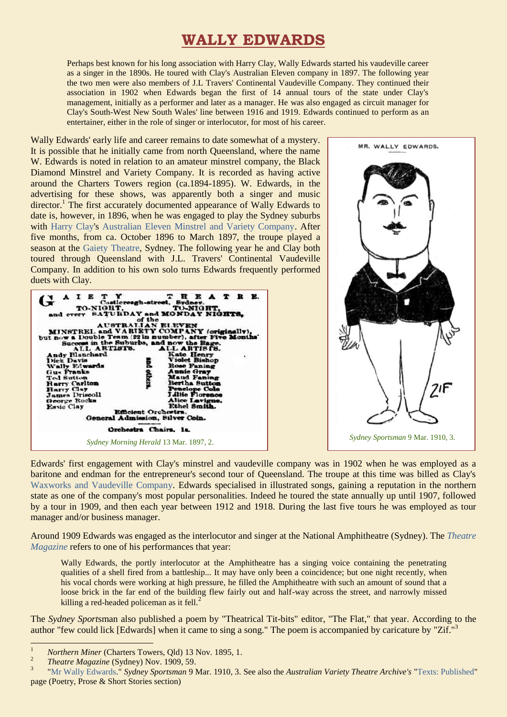## **WALLY EDWARDS**

Perhaps best known for his long association with Harry Clay, Wally Edwards started his vaudeville career as a singer in the 1890s. He toured with Clay's Australian Eleven company in 1897. The following year the two men were also members of J.L Travers' Continental Vaudeville Company. They continued their association in 1902 when Edwards began the first of 14 annual tours of the state under Clay's management, initially as a performer and later as a manager. He was also engaged as circuit manager for Clay's South-West New South Wales' line between 1916 and 1919. Edwards continued to perform as an entertainer, either in the role of singer or interlocutor, for most of his career.

Wally Edwards' early life and career remains to date somewhat of a mystery. It is possible that he initially came from north Queensland, where the name W. Edwards is noted in relation to an amateur minstrel company, the Black Diamond Minstrel and Variety Company. It is recorded as having active around the Charters Towers region (ca.1894-1895). W. Edwards, in the advertising for these shows, was apparently both a singer and music director.<sup>1</sup> The first accurately documented appearance of Wally Edwards to date is, however, in 1896, when he was engaged to play the Sydney suburbs with [Harry Clay's](https://ozvta.com/entrepreneurs-a-f/) [Australian Eleven Minstrel and Variety Company.](http://ozvta.com/troupes-a-f/) After five months, from ca. October 1896 to March 1897, the troupe played a season at the [Gaiety Theatre,](http://ozvta.com/theatres-nsw/) Sydney. The following year he and Clay both toured through Queensland with J.L. Travers' Continental Vaudeville Company. In addition to his own solo turns Edwards frequently performed duets with Clay.





Edwards' first engagement with Clay's minstrel and vaudeville company was in 1902 when he was employed as a baritone and endman for the entrepreneur's second tour of Queensland. The troupe at this time was billed as Clay's [Waxworks and Vaudeville Company.](https://ozvta.com/troupes-a-f/) Edwards specialised in illustrated songs, gaining a reputation in the northern state as one of the company's most popular personalities. Indeed he toured the state annually up until 1907, followed by a tour in 1909, and then each year between 1912 and 1918. During the last five tours he was employed as tour manager and/or business manager.

Around 1909 Edwards was engaged as the interlocutor and singer at the National Amphitheatre (Sydney). The *[Theatre](http://ozvta.com/industry-misc-2/2/)  [Magazine](http://ozvta.com/industry-misc-2/2/)* refers to one of his performances that year:

Wally Edwards, the portly interlocutor at the Amphitheatre has a singing voice containing the penetrating qualities of a shell fired from a battleship... It may have only been a coincidence; but one night recently, when his vocal chords were working at high pressure, he filled the Amphitheatre with such an amount of sound that a loose brick in the far end of the building flew fairly out and half-way across the street, and narrowly missed killing a red-headed policeman as it fell. $^{2}$ 

The *Sydney Sport*sman also published a poem by "Theatrical Tit-bits" editor, "The Flat," that year. According to the author "few could lick [Edwards] when it came to sing a song." The poem is accompanied by caricature by "Zif."

1

<sup>&</sup>lt;sup>1</sup> *Northern Miner* (Charters Towers, Qld) 13 Nov. 1895, 1.

<sup>2</sup> *Theatre Magazine* (Sydney) Nov. 1909, 59.

<sup>3</sup> ["Mr Wally Edwards."](https://trove.nla.gov.au/newspaper/page/16000394) *Sydney Sportsman* 9 Mar. 1910, 3. See also the *Australian Variety Theatre Archive's* "Texts: [Published"](https://ozvta.com/texts-published/) page (Poetry, Prose & Short Stories section)